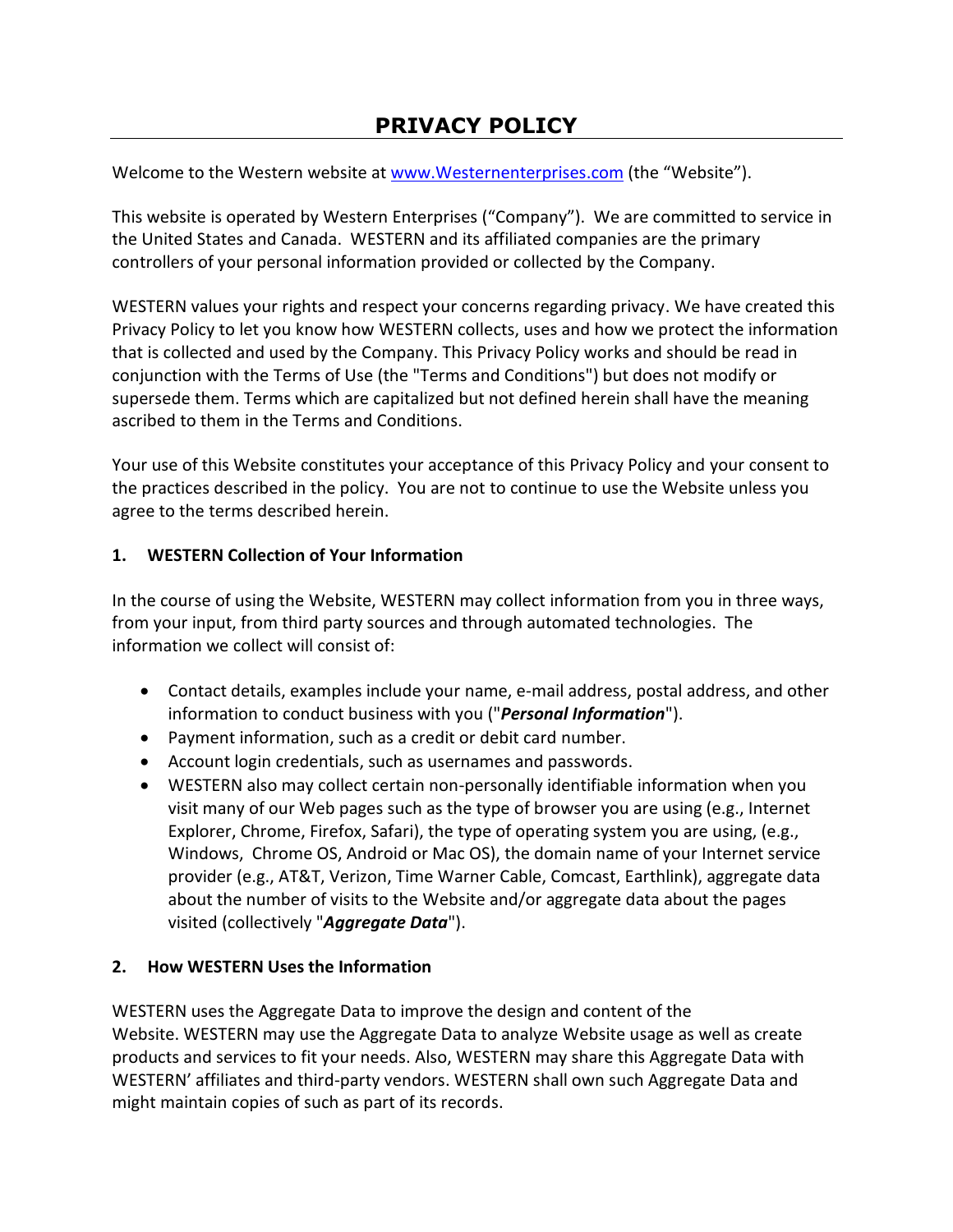# **PRIVACY POLICY**

Welcome to the Western website at [www.Westernenterprises.com](http://www.westernenterprises.com/) (the "Website").

This website is operated by Western Enterprises ("Company"). We are committed to service in the United States and Canada. WESTERN and its affiliated companies are the primary controllers of your personal information provided or collected by the Company.

WESTERN values your rights and respect your concerns regarding privacy. We have created this Privacy Policy to let you know how WESTERN collects, uses and how we protect the information that is collected and used by the Company. This Privacy Policy works and should be read in conjunction with the Terms of Use (the "Terms and Conditions") but does not modify or supersede them. Terms which are capitalized but not defined herein shall have the meaning ascribed to them in the Terms and Conditions.

Your use of this Website constitutes your acceptance of this Privacy Policy and your consent to the practices described in the policy. You are not to continue to use the Website unless you agree to the terms described herein.

#### **1. WESTERN Collection of Your Information**

In the course of using the Website, WESTERN may collect information from you in three ways, from your input, from third party sources and through automated technologies. The information we collect will consist of:

- Contact details, examples include your name, e-mail address, postal address, and other information to conduct business with you ("*Personal Information*").
- Payment information, such as a credit or debit card number.
- Account login credentials, such as usernames and passwords.
- WESTERN also may collect certain non-personally identifiable information when you visit many of our Web pages such as the type of browser you are using (e.g., Internet Explorer, Chrome, Firefox, Safari), the type of operating system you are using, (e.g., Windows, Chrome OS, Android or Mac OS), the domain name of your Internet service provider (e.g., AT&T, Verizon, Time Warner Cable, Comcast, Earthlink), aggregate data about the number of visits to the Website and/or aggregate data about the pages visited (collectively "*Aggregate Data*").

#### **2. How WESTERN Uses the Information**

WESTERN uses the Aggregate Data to improve the design and content of the Website. WESTERN may use the Aggregate Data to analyze Website usage as well as create products and services to fit your needs. Also, WESTERN may share this Aggregate Data with WESTERN' affiliates and third-party vendors. WESTERN shall own such Aggregate Data and might maintain copies of such as part of its records.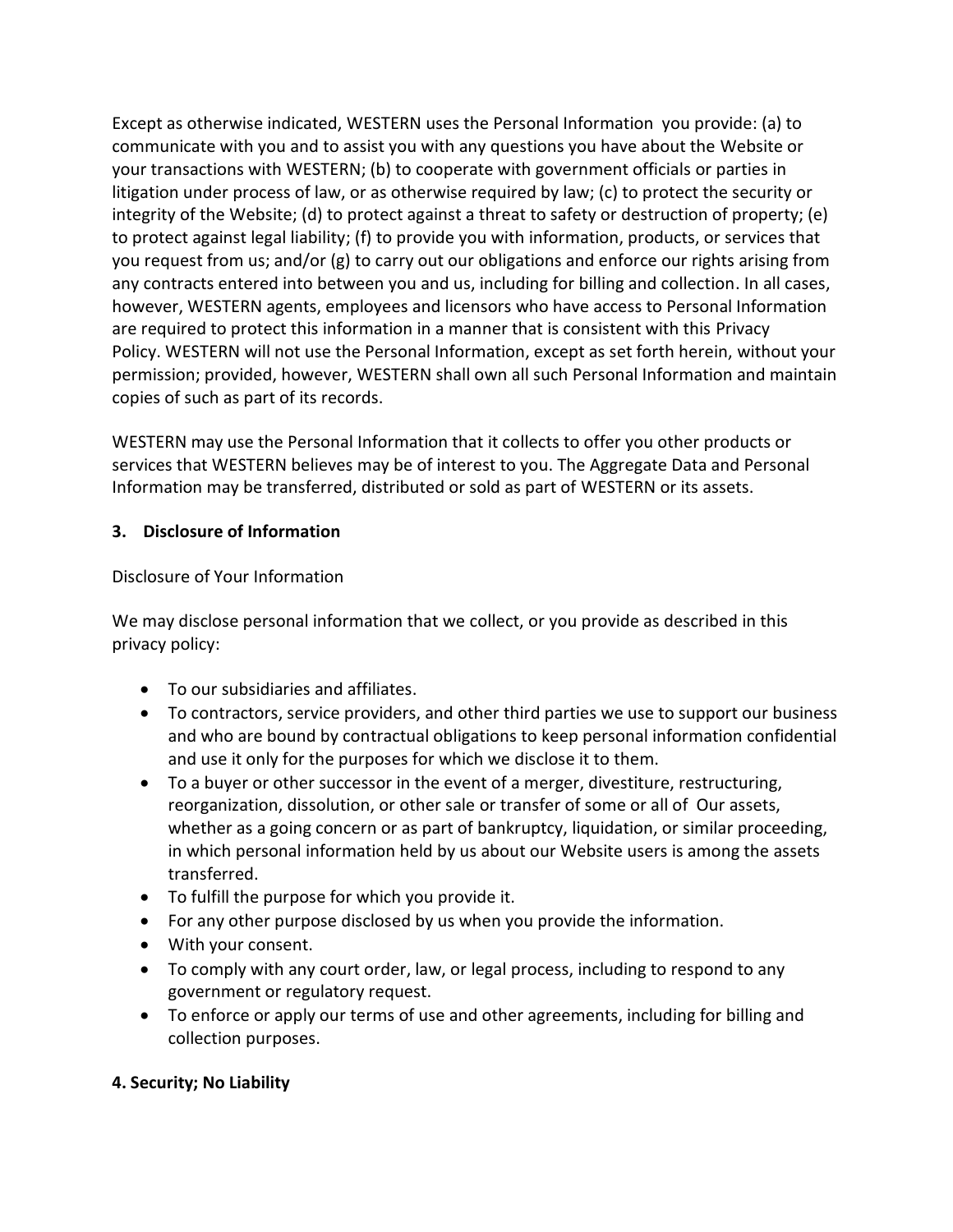Except as otherwise indicated, WESTERN uses the Personal Information you provide: (a) to communicate with you and to assist you with any questions you have about the Website or your transactions with WESTERN; (b) to cooperate with government officials or parties in litigation under process of law, or as otherwise required by law; (c) to protect the security or integrity of the Website; (d) to protect against a threat to safety or destruction of property; (e) to protect against legal liability; (f) to provide you with information, products, or services that you request from us; and/or (g) to carry out our obligations and enforce our rights arising from any contracts entered into between you and us, including for billing and collection. In all cases, however, WESTERN agents, employees and licensors who have access to Personal Information are required to protect this information in a manner that is consistent with this Privacy Policy. WESTERN will not use the Personal Information, except as set forth herein, without your permission; provided, however, WESTERN shall own all such Personal Information and maintain copies of such as part of its records.

WESTERN may use the Personal Information that it collects to offer you other products or services that WESTERN believes may be of interest to you. The Aggregate Data and Personal Information may be transferred, distributed or sold as part of WESTERN or its assets.

#### **3. Disclosure of Information**

#### Disclosure of Your Information

We may disclose personal information that we collect, or you provide as described in this privacy policy:

- To our subsidiaries and affiliates.
- To contractors, service providers, and other third parties we use to support our business and who are bound by contractual obligations to keep personal information confidential and use it only for the purposes for which we disclose it to them.
- To a buyer or other successor in the event of a merger, divestiture, restructuring, reorganization, dissolution, or other sale or transfer of some or all of Our assets, whether as a going concern or as part of bankruptcy, liquidation, or similar proceeding, in which personal information held by us about our Website users is among the assets transferred.
- To fulfill the purpose for which you provide it.
- For any other purpose disclosed by us when you provide the information.
- With your consent.
- To comply with any court order, law, or legal process, including to respond to any government or regulatory request.
- To enforce or apply our terms of use and other agreements, including for billing and collection purposes.

## **4. Security; No Liability**